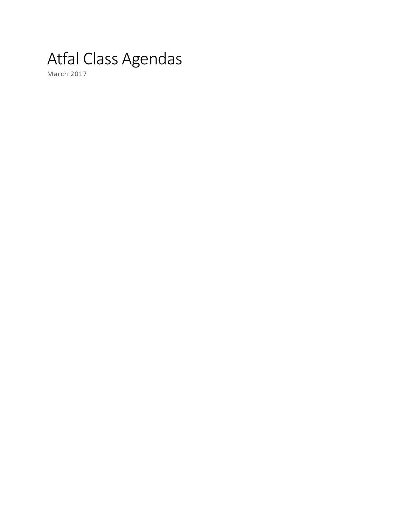# Atfal Class Agendas

March 2017